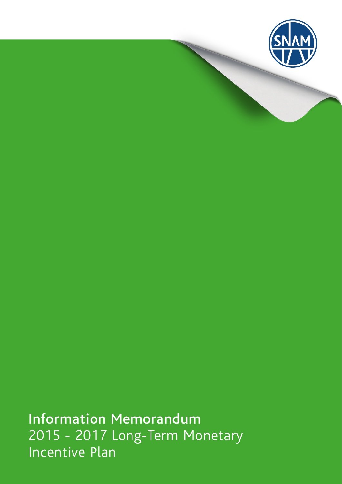

Information Memorandum 2015 - 2017 Long-Term Monetary Incentive Plan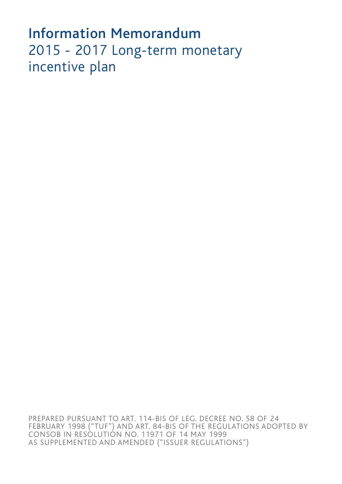# Information Memorandum 2015 - 2017 Long-term monetary incentive plan

PREPARED PURSUANT TO ART. 114-BIS OF LEG. DECREE NO. 58 OF 24 FEBRUARY 1998 ("TUF") AND ART. 84-BIS OF THE REGULATIONS ADOPTED BY CONSOB IN RESOLUTION NO. 11971 OF 14 MAY 1999 AS SUPPLEMENTED AND AMENDED ("ISSUER REGULATIONS")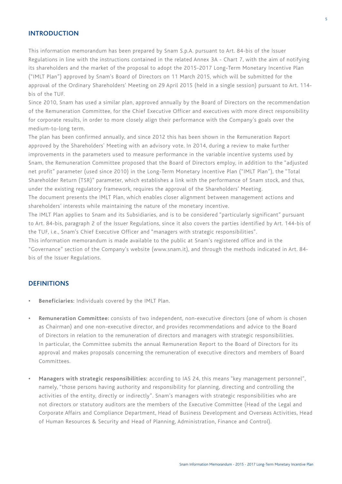## **INTRODUCTION**

This information memorandum has been prepared by Snam S.p.A. pursuant to Art. 84-bis of the Issuer Regulations in line with the instructions contained in the related Annex 3A - Chart 7, with the aim of notifying its shareholders and the market of the proposal to adopt the 2015-2017 Long-Term Monetary Incentive Plan ("IMLT Plan") approved by Snam's Board of Directors on 11 March 2015, which will be submitted for the approval of the Ordinary Shareholders' Meeting on 29 April 2015 (held in a single session) pursuant to Art. 114 bis of the TUF.

Since 2010, Snam has used a similar plan, approved annually by the Board of Directors on the recommendation of the Remuneration Committee, for the Chief Executive Officer and executives with more direct responsibility for corporate results, in order to more closely align their performance with the Company's goals over the medium-to-long term.

The plan has been confirmed annually, and since 2012 this has been shown in the Remuneration Report approved by the Shareholders' Meeting with an advisory vote. In 2014, during a review to make further improvements in the parameters used to measure performance in the variable incentive systems used by Snam, the Remuneration Committee proposed that the Board of Directors employ, in addition to the "adjusted net profit" parameter (used since 2010) in the Long-Term Monetary Incentive Plan ("IMLT Plan"), the "Total Shareholder Return (TSR)" parameter, which establishes a link with the performance of Snam stock, and thus, under the existing regulatory framework, requires the approval of the Shareholders' Meeting. The document presents the IMLT Plan, which enables closer alignment between management actions and

shareholders' interests while maintaining the nature of the monetary incentive.

The IMLT Plan applies to Snam and its Subsidiaries, and is to be considered "particularly significant" pursuant to Art. 84-bis, paragraph 2 of the Issuer Regulations, since it also covers the parties identified by Art. 144-bis of the TUF, i.e., Snam's Chief Executive Officer and "managers with strategic responsibilities".

This information memorandum is made available to the public at Snam's registered office and in the "Governance" section of the Company's website (www.snam.it), and through the methods indicated in Art. 84 bis of the Issuer Regulations.

## **DEFINITIONS**

- **• Beneficiaries:** Individuals covered by the IMLT Plan.
- **• Remuneration Committee:** consists of two independent, non-executive directors (one of whom is chosen as Chairman) and one non-executive director, and provides recommendations and advice to the Board of Directors in relation to the remuneration of directors and managers with strategic responsibilities. In particular, the Committee submits the annual Remuneration Report to the Board of Directors for its approval and makes proposals concerning the remuneration of executive directors and members of Board Committees.
- **• Managers with strategic responsibilities:** according to IAS 24, this means "key management personnel", namely, "those persons having authority and responsibility for planning, directing and controlling the activities of the entity, directly or indirectly". Snam's managers with strategic responsibilities who are not directors or statutory auditors are the members of the Executive Committee (Head of the Legal and Corporate Affairs and Compliance Department, Head of Business Development and Overseas Activities, Head of Human Resources & Security and Head of Planning, Administration, Finance and Control).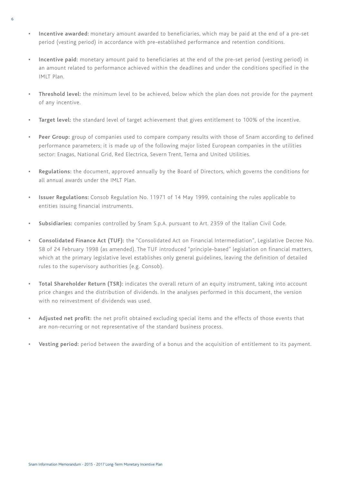- **• Incentive awarded:** monetary amount awarded to beneficiaries, which may be paid at the end of a pre-set period (vesting period) in accordance with pre-established performance and retention conditions.
- **• Incentive paid:** monetary amount paid to beneficiaries at the end of the pre-set period (vesting period) in an amount related to performance achieved within the deadlines and under the conditions specified in the IMIT Plan
- **• Threshold level:** the minimum level to be achieved, below which the plan does not provide for the payment of any incentive.
- **• Target level:** the standard level of target achievement that gives entitlement to 100% of the incentive.
- **Peer Group:** group of companies used to compare company results with those of Snam according to defined performance parameters; it is made up of the following major listed European companies in the utilities sector: Enagas, National Grid, Red Electrica, Severn Trent, Terna and United Utilities.
- **• Regulations:** the document, approved annually by the Board of Directors, which governs the conditions for all annual awards under the IMIT Plan.
- **• Issuer Regulations:** Consob Regulation No. 11971 of 14 May 1999, containing the rules applicable to entities issuing financial instruments.
- **• Subsidiaries:** companies controlled by Snam S.p.A. pursuant to Art. 2359 of the Italian Civil Code.
- **• Consolidated Finance Act (TUF):** the "Consolidated Act on Financial Intermediation", Legislative Decree No. 58 of 24 February 1998 (as amended). The TUF introduced "principle-based" legislation on financial matters, which at the primary legislative level establishes only general guidelines, leaving the definition of detailed rules to the supervisory authorities (e.g. Consob).
- **• Total Shareholder Return (TSR):** indicates the overall return of an equity instrument, taking into account price changes and the distribution of dividends. In the analyses performed in this document, the version with no reinvestment of dividends was used.
- **• Adjusted net profit:** the net profit obtained excluding special items and the effects of those events that are non-recurring or not representative of the standard business process.
- **Vesting period:** period between the awarding of a bonus and the acquisition of entitlement to its payment.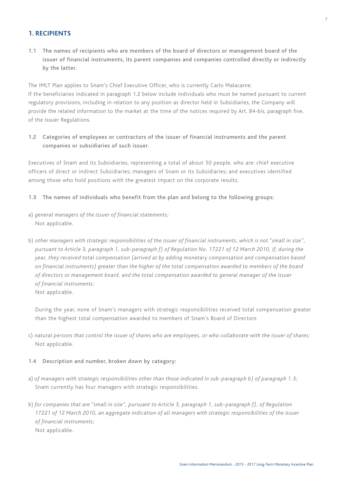# **1. RECIPIENTS**

1.1 The names of recipients who are members of the board of directors or management board of the issuer of financial instruments, its parent companies and companies controlled directly or indirectly by the latter.

The IMLT Plan applies to Snam's Chief Executive Officer, who is currently Carlo Malacarne. If the beneficiaries indicated in paragraph 1.2 below include individuals who must be named pursuant to current regulatory provisions, including in relation to any position as director held in Subsidiaries, the Company will provide the related information to the market at the time of the notices required by Art. 84-bis, paragraph five, of the Issuer Regulations.

1.2 Categories of employees or contractors of the issuer of financial instruments and the parent companies or subsidiaries of such issuer.

Executives of Snam and its Subsidiaries, representing a total of about 50 people, who are: chief executive officers of direct or indirect Subsidiaries; managers of Snam or its Subsidiaries; and executives identified among those who hold positions with the greatest impact on the corporate results.

- 1.3 The names of individuals who benefit from the plan and belong to the following groups:
- a) *general managers of the issuer of financial statements;* Not applicable.
- b) *other managers with strategic responsibilities of the issuer of financial instruments, which is not "small in size", pursuant to Article 3, paragraph 1, sub-paragraph f) of Regulation No. 17221 of 12 March 2010, if, during the year, they received total compensation (arrived at by adding monetary compensation and compensation based on financial instruments) greater than the higher of the total compensation awarded to members of the board of directors or management board, and the total compensation awarded to general manager of the issuer of financial instruments;*
	- Not applicable.

During the year, none of Snam's managers with strategic responsibilities received total compensation greater than the highest total compensation awarded to members of Snam's Board of Directors

c) *natural persons that control the issuer of shares who are employees, or who collaborate with the issuer of shares;* Not applicable.

## 1.4 Description and number, broken down by category:

- a) *of managers with strategic responsibilities other than those indicated in sub-paragraph b) of paragraph 1.3;* Snam currently has four managers with strategic responsibilities.
- b) *for companies that are "small in size", pursuant to Article 3, paragraph 1, sub-paragraph f), of Regulation 17221 of 12 March 2010, an aggregate indication of all managers with strategic responsibilities of the issuer of financial instruments;* Not applicable.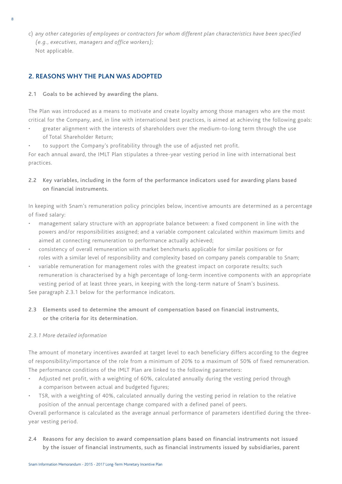c) *any other categories of employees or contractors for whom different plan characteristics have been specified (e.g., executives, managers and office workers);* Not applicable.

# **2. REASONS WHY THE PLAN WAS ADOPTED**

## 2.1 Goals to be achieved by awarding the plans.

The Plan was introduced as a means to motivate and create loyalty among those managers who are the most critical for the Company, and, in line with international best practices, is aimed at achieving the following goals:

- greater alignment with the interests of shareholders over the medium-to-long term through the use of Total Shareholder Return;
- to support the Company's profitability through the use of adjusted net profit.

For each annual award, the IMLT Plan stipulates a three-year vesting period in line with international best practices.

2.2 Key variables, including in the form of the performance indicators used for awarding plans based on financial instruments.

In keeping with Snam's remuneration policy principles below, incentive amounts are determined as a percentage of fixed salary:

- • management salary structure with an appropriate balance between: a fixed component in line with the powers and/or responsibilities assigned; and a variable component calculated within maximum limits and aimed at connecting remuneration to performance actually achieved;
- • consistency of overall remuneration with market benchmarks applicable for similar positions or for roles with a similar level of responsibility and complexity based on company panels comparable to Snam;
- variable remuneration for management roles with the greatest impact on corporate results; such remuneration is characterised by a high percentage of long-term incentive components with an appropriate vesting period of at least three years, in keeping with the long-term nature of Snam's business.

See paragraph 2.3.1 below for the performance indicators.

2.3 Elements used to determine the amount of compensation based on financial instruments, or the criteria for its determination.

## *2.3.1 More detailed information*

The amount of monetary incentives awarded at target level to each beneficiary differs according to the degree of responsibility/importance of the role from a minimum of 20% to a maximum of 50% of fixed remuneration. The performance conditions of the IMLT Plan are linked to the following parameters:

- • Adjusted net profit, with a weighting of 60%, calculated annually during the vesting period through a comparison between actual and budgeted figures;
- • TSR, with a weighting of 40%, calculated annually during the vesting period in relation to the relative position of the annual percentage change compared with a defined panel of peers.

Overall performance is calculated as the average annual performance of parameters identified during the threeyear vesting period.

2.4 Reasons for any decision to award compensation plans based on financial instruments not issued by the issuer of financial instruments, such as financial instruments issued by subsidiaries, parent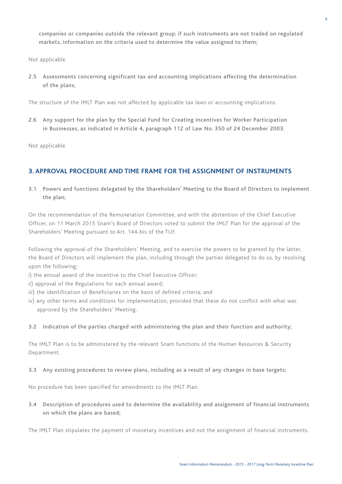companies or companies outside the relevant group; if such instruments are not traded on regulated markets, information on the criteria used to determine the value assigned to them;

Not applicable.

2.5 Assessments concerning significant tax and accounting implications affecting the determination of the plans;

The structure of the IMLT Plan was not affected by applicable tax laws or accounting implications.

2.6 Any support for the plan by the Special Fund for Creating Incentives for Worker Participation in Businesses, as indicated in Article 4, paragraph 112 of Law No. 350 of 24 December 2003.

Not applicable.

## **3. APPROVAL PROCEDURE AND TIME FRAME FOR THE ASSIGNMENT OF INSTRUMENTS**

3.1 Powers and functions delegated by the Shareholders' Meeting to the Board of Directors to implement the plan;

On the recommendation of the Remuneration Committee, and with the abstention of the Chief Executive Officer, on 11 March 2015 Snam's Board of Directors voted to submit the IMLT Plan for the approval of the Shareholders' Meeting pursuant to Art. 144-bis of the TUF.

Following the approval of the Shareholders' Meeting, and to exercise the powers to be granted by the latter, the Board of Directors will implement the plan, including through the parties delegated to do so, by resolving upon the following:

- *i*) the annual award of the incentive to the Chief Executive Officer;
- *ii*) approval of the Regulations for each annual award;
- *iii*) the identification of Beneficiaries on the basis of defined criteria; and
- *iv*) any other terms and conditions for implementation, provided that these do not conflict with what was approved by the Shareholders' Meeting.

## 3.2 Indication of the parties charged with administering the plan and their function and authority;

The IMLT Plan is to be administered by the relevant Snam functions of the Human Resources & Security Department.

#### 3.3 Any existing procedures to review plans, including as a result of any changes in base targets;

No procedure has been specified for amendments to the IMLT Plan.

3.4 Description of procedures used to determine the availability and assignment of financial instruments on which the plans are based;

The IMLT Plan stipulates the payment of monetary incentives and not the assignment of financial instruments.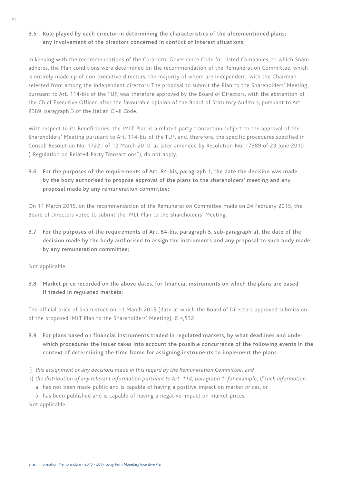# 3.5 Role played by each director in determining the characteristics of the aforementioned plans; any involvement of the directors concerned in conflict of interest situations;

In keeping with the recommendations of the Corporate Governance Code for Listed Companies, to which Snam adheres, the Plan conditions were determined on the recommendation of the Remuneration Committee, which is entirely made up of non-executive directors, the majority of whom are independent, with the Chairman selected from among the independent directors. The proposal to submit the Plan to the Shareholders' Meeting, pursuant to Art. 114-bis of the TUF, was therefore approved by the Board of Directors, with the abstention of the Chief Executive Officer, after the favourable opinion of the Board of Statutory Auditors, pursuant to Art. 2389, paragraph 3 of the Italian Civil Code.

With respect to its Beneficiaries, the IMLT Plan is a related-party transaction subject to the approval of the Shareholders' Meeting pursuant to Art. 114-bis of the TUF, and, therefore, the specific procedures specified in Consob Resolution No. 17221 of 12 March 2010, as later amended by Resolution No. 17389 of 23 June 2010 ("Regulation on Related-Party Transactions"), do not apply.

3.6 For the purposes of the requirements of Art. 84-bis, paragraph 1, the date the decision was made by the body authorised to propose approval of the plans to the shareholders' meeting and any proposal made by any remuneration committee;

On 11 March 2015, on the recommendation of the Remuneration Committee made on 24 February 2015, the Board of Directors voted to submit the IMLT Plan to the Shareholders' Meeting.

3.7 For the purposes of the requirements of Art. 84-bis, paragraph 5, sub-paragraph a), the date of the decision made by the body authorised to assign the instruments and any proposal to such body made by any remuneration committee;

Not applicable.

3.8 Market price recorded on the above dates, for financial instruments on which the plans are based if traded in regulated markets;

The official price of Snam stock on 11 March 2015 (date at which the Board of Directors approved submission of the proposed IMLT Plan to the Shareholders' Meeting):  $\epsilon$  4,532.

- 3.9 For plans based on financial instruments traded in regulated markets, by what deadlines and under which procedures the issuer takes into account the possible concurrence of the following events in the context of determining the time frame for assigning instruments to implement the plans:
- i) *this assignment or any decisions made in this regard by the Remuneration Committee, and*
- ii) *the distribution of any relevant information pursuant to Art. 114, paragraph 1; for example, if such information:*
	- a. has not been made public and is capable of having a positive impact on market prices, or

b. has been published and is capable of having a negative impact on market prices. Not applicable.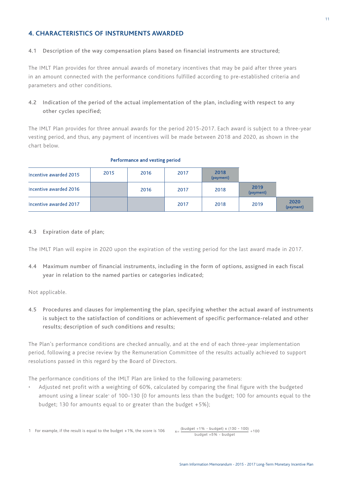# **4. Characteristics of instruments awarded**

#### 4.1 Description of the way compensation plans based on financial instruments are structured;

The IMLT Plan provides for three annual awards of monetary incentives that may be paid after three years in an amount connected with the performance conditions fulfilled according to pre-established criteria and parameters and other conditions.

# 4.2 Indication of the period of the actual implementation of the plan, including with respect to any other cycles specified;

The IMLT Plan provides for three annual awards for the period 2015-2017. Each award is subject to a three-year vesting period, and thus, any payment of incentives will be made between 2018 and 2020, as shown in the chart below.

| Incentive awarded 2015 | 2015 | 2016 | 2017 | 2018<br>(payment) |                   |                   |
|------------------------|------|------|------|-------------------|-------------------|-------------------|
| Incentive awarded 2016 |      | 2016 | 2017 | 2018              | 2019<br>(payment) |                   |
| Incentive awarded 2017 |      |      | 2017 | 2018              | 2019              | 2020<br>(payment) |

#### Performance and vesting period

#### 4.3 Expiration date of plan;

The IMLT Plan will expire in 2020 upon the expiration of the vesting period for the last award made in 2017.

4.4 Maximum number of financial instruments, including in the form of options, assigned in each fiscal year in relation to the named parties or categories indicated;

Not applicable.

4.5 Procedures and clauses for implementing the plan, specifying whether the actual award of instruments is subject to the satisfaction of conditions or achievement of specific performance-related and other results; description of such conditions and results;

The Plan's performance conditions are checked annually, and at the end of each three-year implementation period, following a precise review by the Remuneration Committee of the results actually achieved to support resolutions passed in this regard by the Board of Directors.

The performance conditions of the IMLT Plan are linked to the following parameters:

Adjusted net profit with a weighting of 60%, calculated by comparing the final figure with the budgeted amount using a linear scale<sup>1</sup> of 100-130 (0 for amounts less than the budget; 100 for amounts equal to the budget; 130 for amounts equal to or greater than the budget +5%);

```
1 For example, if the result is equal to the budget +1%, the score is 106
```
 $x = \frac{(budget + 1\% - budget) \times (130 - 100)}{+100}$  $b$ udget +5% - budget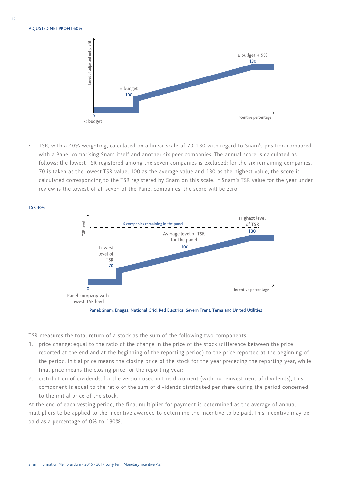**ADJUSTED NET PROFIT 60%** 

**TSR 40%** 



TSR, with a 40% weighting, calculated on a linear scale of 70-130 with regard to Snam's position compared with a Panel comprising Snam itself and another six peer companies. The annual score is calculated as follows: the lowest TSR registered among the seven companies is excluded; for the six remaining companies, 70 is taken as the lowest TSR value, 100 as the average value and 130 as the highest value; the score is calculated corresponding to the TSR registered by Snam on this scale. If Snam's TSR value for the year under review is the lowest of all seven of the Panel companies, the score will be zero.



Panel: Snam, Enagas, National Grid, Red Electrica, Severn Trent, Terna and United Utilities

TSR measures the total return of a stock as the sum of the following two components:

- 1. price change: equal to the ratio of the change in the price of the stock (difference between the price reported at the end and at the beginning of the reporting period) to the price reported at the beginning of the period. Initial price means the closing price of the stock for the year preceding the reporting year, while final price means the closing price for the reporting year;
- 2. distribution of dividends: for the version used in this document (with no reinvestment of dividends), this component is equal to the ratio of the sum of dividends distributed per share during the period concerned to the initial price of the stock.

At the end of each vesting period, the final multiplier for payment is determined as the average of annual multipliers to be applied to the incentive awarded to determine the incentive to be paid. This incentive may be paid as a percentage of 0% to 130%.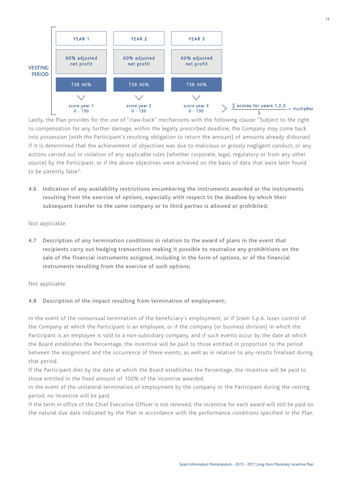

Lastly, the Plan provides for the use of "claw-back" mechanisms with the following clause: "Subject to the right to compensation for any further damage, within the legally prescribed deadline, the Company may come back into possession (with the Participant's resulting obligation to return the amount) of amounts already disbursed if it is determined that the achievement of objectives was due to malicious or grossly negligent conduct, or any actions carried out in violation of any applicable rules (whether corporate, legal, regulatory or from any other source) by the Participant, or if the above objectives were achieved on the basis of data that were later found to be patently false".

4.6 Indication of any availability restrictions encumbering the instruments awarded or the instruments resulting from the exercise of options, especially with respect to the deadline by which their subsequent transfer to the same company or to third parties is allowed or prohibited;

Not applicable.

4.7 Description of any termination conditions in relation to the award of plans in the event that recipients carry out hedging transactions making it possible to neutralise any prohibitions on the sale of the financial instruments assigned, including in the form of options, or of the financial instruments resulting from the exercise of such options;

Not applicable.

## 4.8 Description of the impact resulting from termination of employment;

In the event of the consensual termination of the beneficiary's employment, or if Snam S.p.A. loses control of the Company at which the Participant is an employee, or if the company (or business division) in which the Participant is an employee is sold to a non-subsidiary company, and if such events occur by the date at which the Board establishes the Percentage, the incentive will be paid to those entitled in proportion to the period between the assignment and the occurrence of these events, as well as in relation to any results finalised during that period.

If the Participant dies by the date at which the Board establishes the Percentage, the incentive will be paid to those entitled in the fixed amount of 100% of the incentive awarded.

In the event of the unilateral termination of employment by the company or the Participant during the vesting period, no incentive will be paid.

If the term in office of the Chief Executive Officer is not renewed, the incentive for each award will still be paid on the natural due date indicated by the Plan in accordance with the performance conditions specified in the Plan.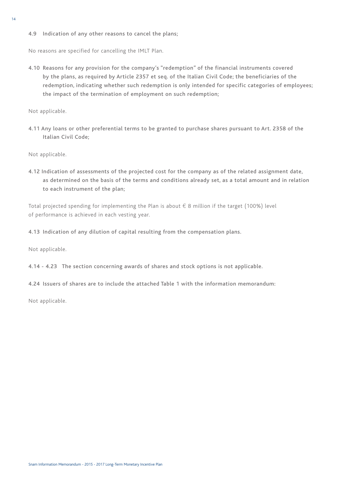#### 4.9 Indication of any other reasons to cancel the plans;

No reasons are specified for cancelling the IMLT Plan.

4.10 Reasons for any provision for the company's "redemption" of the financial instruments covered by the plans, as required by Article 2357 et seq. of the Italian Civil Code; the beneficiaries of the redemption, indicating whether such redemption is only intended for specific categories of employees; the impact of the termination of employment on such redemption;

Not applicable.

4.11 Any loans or other preferential terms to be granted to purchase shares pursuant to Art. 2358 of the Italian Civil Code;

Not applicable.

4.12 Indication of assessments of the projected cost for the company as of the related assignment date, as determined on the basis of the terms and conditions already set, as a total amount and in relation to each instrument of the plan;

Total projected spending for implementing the Plan is about € 8 million if the target (100%) level of performance is achieved in each vesting year.

4.13 Indication of any dilution of capital resulting from the compensation plans.

Not applicable.

4.14 - 4.23 The section concerning awards of shares and stock options is not applicable.

4.24 Issuers of shares are to include the attached Table 1 with the information memorandum:

Not applicable.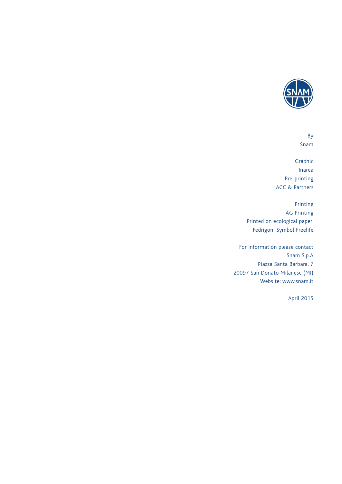

By Snam

Graphic Inarea Pre-printing ACC & Partners

Printing AG Printing Printed on ecological paper: Fedrigoni Symbol Freelife

For information please contact Snam S.p.A Piazza Santa Barbara, 7 20097 San Donato Milanese (MI) Website: www.snam.it

April 2015